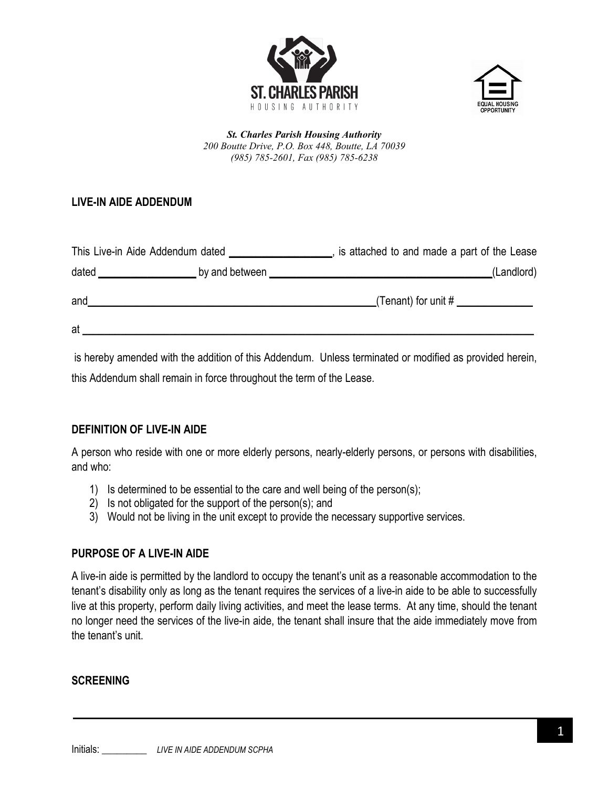



*St. Charles Parish Housing Authority 200 Boutte Drive, P.O. Box 448, Boutte, LA 70039 (985) 785-2601, Fax (985) 785-6238*

# **LIVE-IN AIDE ADDENDUM**

| This Live-in Aide Addendum dated |                | is attached to and made a part of the Lease |
|----------------------------------|----------------|---------------------------------------------|
| dated                            | by and between | (Landlord)                                  |
| and                              |                | (Tenant) for unit $#$                       |
| at                               |                |                                             |

is hereby amended with the addition of this Addendum. Unless terminated or modified as provided herein, this Addendum shall remain in force throughout the term of the Lease.

#### **DEFINITION OF LIVE-IN AIDE**

A person who reside with one or more elderly persons, nearly-elderly persons, or persons with disabilities, and who:

- 1) Is determined to be essential to the care and well being of the person(s);
- 2) Is not obligated for the support of the person(s); and
- 3) Would not be living in the unit except to provide the necessary supportive services.

### **PURPOSE OF A LIVE-IN AIDE**

A live-in aide is permitted by the landlord to occupy the tenant's unit as a reasonable accommodation to the tenant's disability only as long as the tenant requires the services of a live-in aide to be able to successfully live at this property, perform daily living activities, and meet the lease terms. At any time, should the tenant no longer need the services of the live-in aide, the tenant shall insure that the aide immediately move from the tenant's unit.

#### **SCREENING**

Initials: \_\_\_\_\_\_\_\_\_ *LIVE IN AIDE ADDENDUM SCPHA*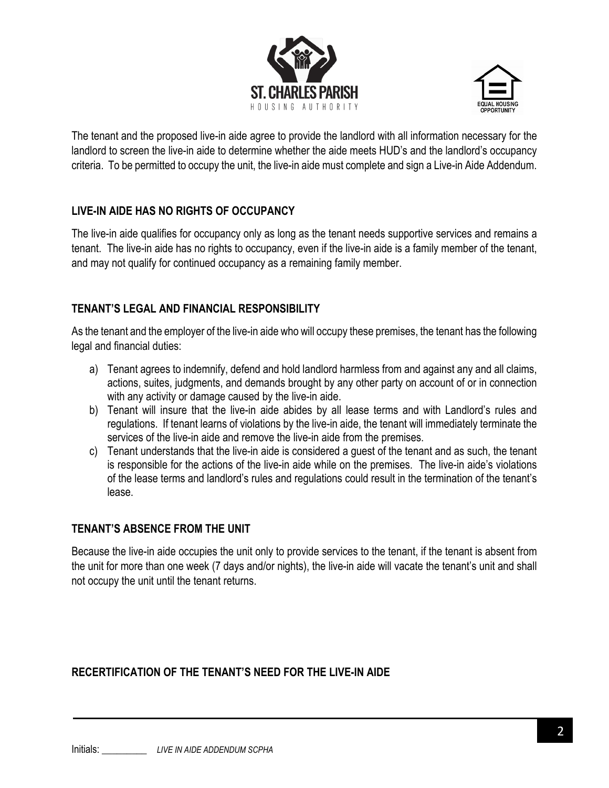



The tenant and the proposed live-in aide agree to provide the landlord with all information necessary for the landlord to screen the live-in aide to determine whether the aide meets HUD's and the landlord's occupancy criteria. To be permitted to occupy the unit, the live-in aide must complete and sign a Live-in Aide Addendum.

## **LIVE-IN AIDE HAS NO RIGHTS OF OCCUPANCY**

The live-in aide qualifies for occupancy only as long as the tenant needs supportive services and remains a tenant. The live-in aide has no rights to occupancy, even if the live-in aide is a family member of the tenant, and may not qualify for continued occupancy as a remaining family member.

### **TENANT'S LEGAL AND FINANCIAL RESPONSIBILITY**

As the tenant and the employer of the live-in aide who will occupy these premises, the tenant has the following legal and financial duties:

- a) Tenant agrees to indemnify, defend and hold landlord harmless from and against any and all claims, actions, suites, judgments, and demands brought by any other party on account of or in connection with any activity or damage caused by the live-in aide.
- b) Tenant will insure that the live-in aide abides by all lease terms and with Landlord's rules and regulations. If tenant learns of violations by the live-in aide, the tenant will immediately terminate the services of the live-in aide and remove the live-in aide from the premises.
- c) Tenant understands that the live-in aide is considered a guest of the tenant and as such, the tenant is responsible for the actions of the live-in aide while on the premises. The live-in aide's violations of the lease terms and landlord's rules and regulations could result in the termination of the tenant's lease.

### **TENANT'S ABSENCE FROM THE UNIT**

Because the live-in aide occupies the unit only to provide services to the tenant, if the tenant is absent from the unit for more than one week (7 days and/or nights), the live-in aide will vacate the tenant's unit and shall not occupy the unit until the tenant returns.

# **RECERTIFICATION OF THE TENANT'S NEED FOR THE LIVE-IN AIDE**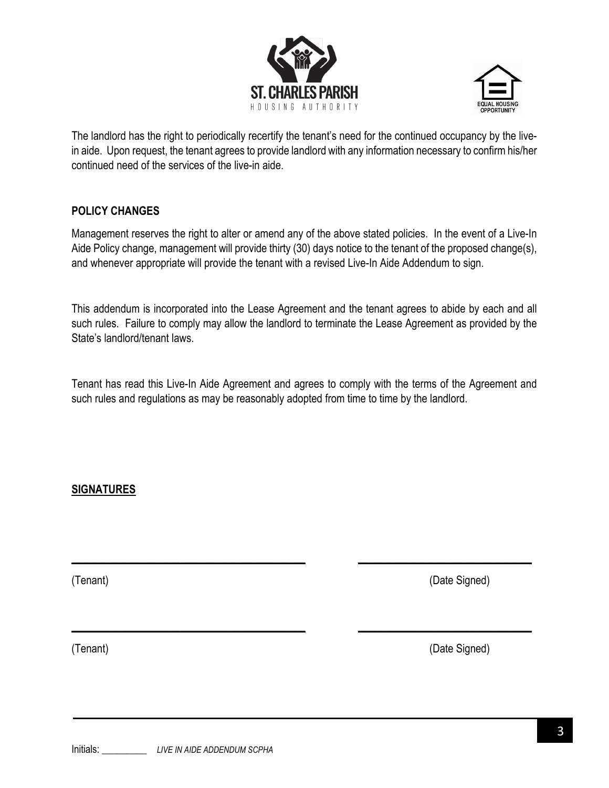



The landlord has the right to periodically recertify the tenant's need for the continued occupancy by the livein aide. Upon request, the tenant agrees to provide landlord with any information necessary to confirm his/her continued need of the services of the live-in aide.

### **POLICY CHANGES**

Management reserves the right to alter or amend any of the above stated policies. In the event of a Live-In Aide Policy change, management will provide thirty (30) days notice to the tenant of the proposed change(s), and whenever appropriate will provide the tenant with a revised Live-In Aide Addendum to sign.

This addendum is incorporated into the Lease Agreement and the tenant agrees to abide by each and all such rules. Failure to comply may allow the landlord to terminate the Lease Agreement as provided by the State's landlord/tenant laws.

Tenant has read this Live-In Aide Agreement and agrees to comply with the terms of the Agreement and such rules and regulations as may be reasonably adopted from time to time by the landlord.

\_\_\_\_\_\_\_\_\_\_\_\_\_\_\_\_\_\_\_\_\_\_\_\_\_\_\_\_\_\_\_\_\_\_\_\_\_\_\_\_\_\_\_ \_\_\_\_\_\_\_\_\_\_\_\_\_\_\_\_\_\_\_\_\_\_\_\_\_\_\_\_\_\_\_\_

\_\_\_\_\_\_\_\_\_\_\_\_\_\_\_\_\_\_\_\_\_\_\_\_\_\_\_\_\_\_\_\_\_\_\_\_\_\_\_\_\_\_\_ \_\_\_\_\_\_\_\_\_\_\_\_\_\_\_\_\_\_\_\_\_\_\_\_\_\_\_\_\_\_\_\_

### **SIGNATURES**

(Tenant) (Date Signed)

(Tenant) (Date Signed)